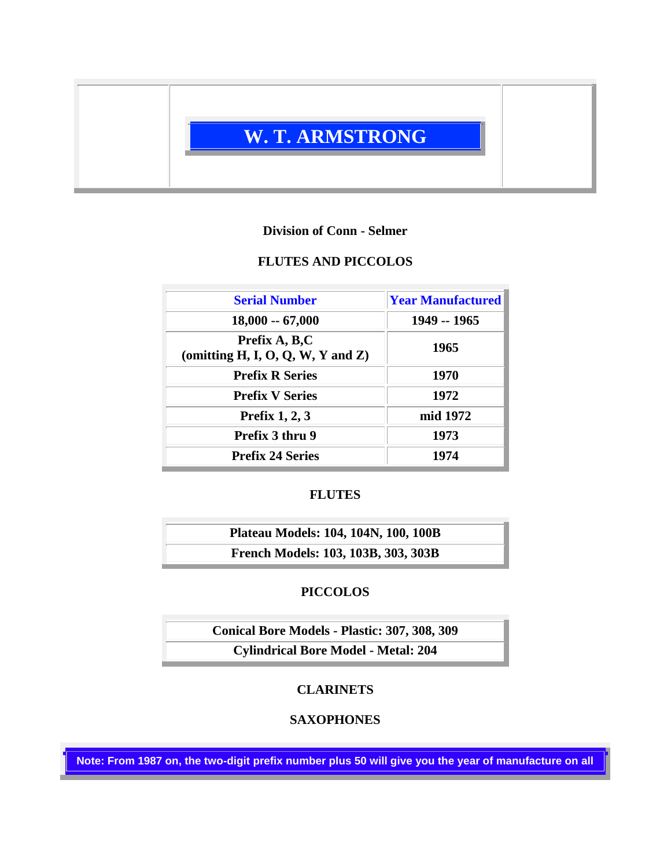

## **Division of Conn - Selmer**

## **FLUTES AND PICCOLOS**

| <b>Serial Number</b>                               | <b>Year Manufactured</b> |
|----------------------------------------------------|--------------------------|
| $18,000 - 67,000$                                  | 1949 -- 1965             |
| Prefix A, B,C<br>(omitting H, I, O, Q, W, Y and Z) | 1965                     |
| <b>Prefix R Series</b>                             | 1970                     |
| <b>Prefix V Series</b>                             | 1972                     |
| Prefix $1, 2, 3$                                   | mid 1972                 |
| Prefix 3 thru 9                                    | 1973                     |
| <b>Prefix 24 Series</b>                            | 1974                     |

# **FLUTES**

**Plateau Models: 104, 104N, 100, 100B French Models: 103, 103B, 303, 303B**

# **PICCOLOS**

**Conical Bore Models - Plastic: 307, 308, 309 Cylindrical Bore Model - Metal: 204**

## **CLARINETS**

## **SAXOPHONES**

**Note: From 1987 on, the two-digit prefix number plus 50 will give you the year of manufacture on all**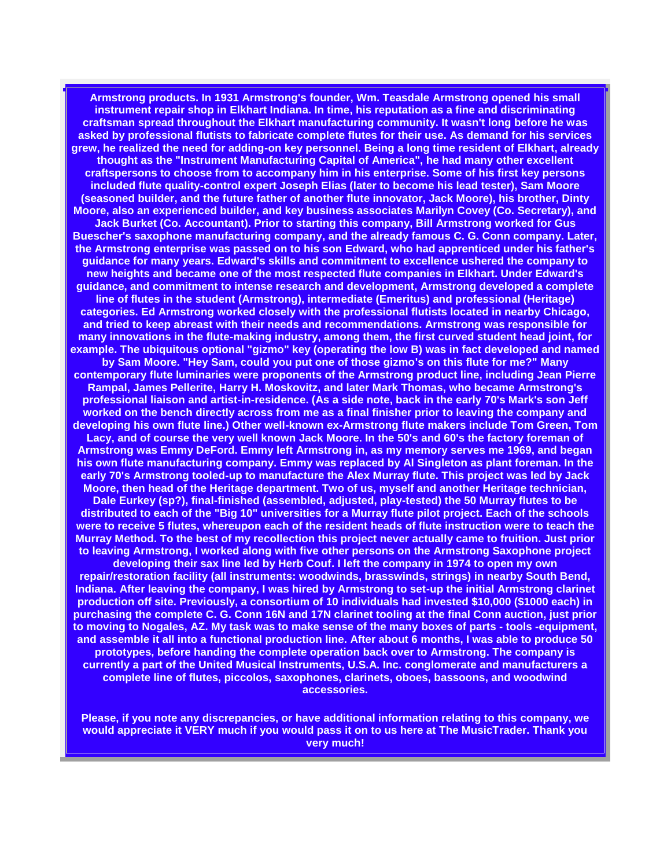**Armstrong products. In 1931 Armstrong's founder, Wm. Teasdale Armstrong opened his small instrument repair shop in Elkhart Indiana. In time, his reputation as a fine and discriminating craftsman spread throughout the Elkhart manufacturing community. It wasn't long before he was asked by professional flutists to fabricate complete flutes for their use. As demand for his services grew, he realized the need for adding-on key personnel. Being a long time resident of Elkhart, already thought as the "Instrument Manufacturing Capital of America", he had many other excellent craftspersons to choose from to accompany him in his enterprise. Some of his first key persons included flute quality-control expert Joseph Elias (later to become his lead tester), Sam Moore (seasoned builder, and the future father of another flute innovator, Jack Moore), his brother, Dinty Moore, also an experienced builder, and key business associates Marilyn Covey (Co. Secretary), and Jack Burket (Co. Accountant). Prior to starting this company, Bill Armstrong worked for Gus Buescher's saxophone manufacturing company, and the already famous C. G. Conn company. Later, the Armstrong enterprise was passed on to his son Edward, who had apprenticed under his father's guidance for many years. Edward's skills and commitment to excellence ushered the company to new heights and became one of the most respected flute companies in Elkhart. Under Edward's guidance, and commitment to intense research and development, Armstrong developed a complete line of flutes in the student (Armstrong), intermediate (Emeritus) and professional (Heritage) categories. Ed Armstrong worked closely with the professional flutists located in nearby Chicago, and tried to keep abreast with their needs and recommendations. Armstrong was responsible for many innovations in the flute-making industry, among them, the first curved student head joint, for example. The ubiquitous optional "gizmo" key (operating the low B) was in fact developed and named by Sam Moore. "Hey Sam, could you put one of those gizmo's on this flute for me?" Many contemporary flute luminaries were proponents of the Armstrong product line, including Jean Pierre Rampal, James Pellerite, Harry H. Moskovitz, and later Mark Thomas, who became Armstrong's professional liaison and artist-in-residence. (As a side note, back in the early 70's Mark's son Jeff worked on the bench directly across from me as a final finisher prior to leaving the company and developing his own flute line.) Other well-known ex-Armstrong flute makers include Tom Green, Tom Lacy, and of course the very well known Jack Moore. In the 50's and 60's the factory foreman of Armstrong was Emmy DeFord. Emmy left Armstrong in, as my memory serves me 1969, and began his own flute manufacturing company. Emmy was replaced by Al Singleton as plant foreman. In the early 70's Armstrong tooled-up to manufacture the Alex Murray flute. This project was led by Jack Moore, then head of the Heritage department. Two of us, myself and another Heritage technician, Dale Eurkey (sp?), final-finished (assembled, adjusted, play-tested) the 50 Murray flutes to be distributed to each of the "Big 10" universities for a Murray flute pilot project. Each of the schools were to receive 5 flutes, whereupon each of the resident heads of flute instruction were to teach the Murray Method. To the best of my recollection this project never actually came to fruition. Just prior to leaving Armstrong, I worked along with five other persons on the Armstrong Saxophone project developing their sax line led by Herb Couf. I left the company in 1974 to open my own repair/restoration facility (all instruments: woodwinds, brasswinds, strings) in nearby South Bend, Indiana. After leaving the company, I was hired by Armstrong to set-up the initial Armstrong clarinet production off site. Previously, a consortium of 10 individuals had invested \$10,000 (\$1000 each) in purchasing the complete C. G. Conn 16N and 17N clarinet tooling at the final Conn auction, just prior to moving to Nogales, AZ. My task was to make sense of the many boxes of parts - tools -equipment, and assemble it all into a functional production line. After about 6 months, I was able to produce 50 prototypes, before handing the complete operation back over to Armstrong. The company is currently a part of the United Musical Instruments, U.S.A. Inc. conglomerate and manufacturers a complete line of flutes, piccolos, saxophones, clarinets, oboes, bassoons, and woodwind accessories.**

**Please, if you note any discrepancies, or have additional information relating to this company, we would appreciate it VERY much if you would pass it on to us here at The MusicTrader. Thank you very much!**